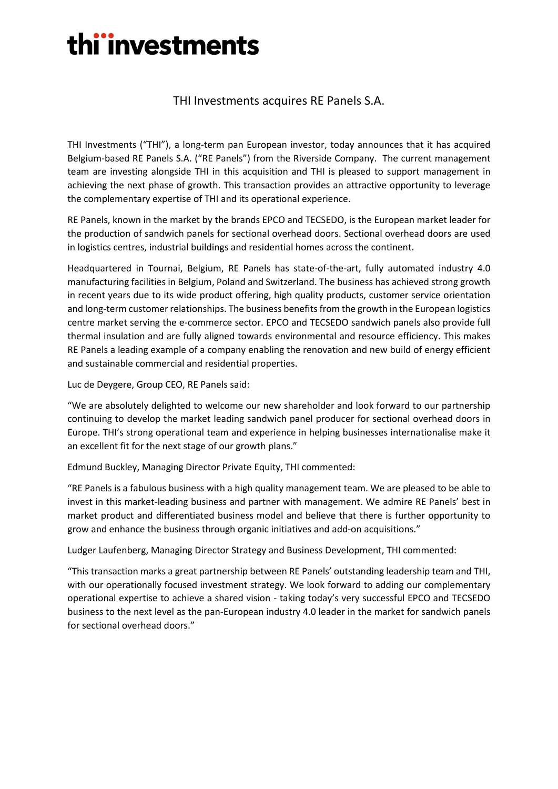## thi'investments

### THI Investments acquires RE Panels S.A.

THI Investments ("THI"), a long-term pan European investor, today announces that it has acquired Belgium-based RE Panels S.A. ("RE Panels") from the Riverside Company. The current management team are investing alongside THI in this acquisition and THI is pleased to support management in achieving the next phase of growth. This transaction provides an attractive opportunity to leverage the complementary expertise of THI and its operational experience.

RE Panels, known in the market by the brands EPCO and TECSEDO, is the European market leader for the production of sandwich panels for sectional overhead doors. Sectional overhead doors are used in logistics centres, industrial buildings and residential homes across the continent.

Headquartered in Tournai, Belgium, RE Panels has state-of-the-art, fully automated industry 4.0 manufacturing facilities in Belgium, Poland and Switzerland. The business has achieved strong growth in recent years due to its wide product offering, high quality products, customer service orientation and long-term customer relationships. The business benefits from the growth in the European logistics centre market serving the e-commerce sector. EPCO and TECSEDO sandwich panels also provide full thermal insulation and are fully aligned towards environmental and resource efficiency. This makes RE Panels a leading example of a company enabling the renovation and new build of energy efficient and sustainable commercial and residential properties.

Luc de Deygere, Group CEO, RE Panels said:

"We are absolutely delighted to welcome our new shareholder and look forward to our partnership continuing to develop the market leading sandwich panel producer for sectional overhead doors in Europe. THI's strong operational team and experience in helping businesses internationalise make it an excellent fit for the next stage of our growth plans."

Edmund Buckley, Managing Director Private Equity, THI commented:

"RE Panels is a fabulous business with a high quality management team. We are pleased to be able to invest in this market-leading business and partner with management. We admire RE Panels' best in market product and differentiated business model and believe that there is further opportunity to grow and enhance the business through organic initiatives and add-on acquisitions."

Ludger Laufenberg, Managing Director Strategy and Business Development, THI commented:

"This transaction marks a great partnership between RE Panels' outstanding leadership team and THI, with our operationally focused investment strategy. We look forward to adding our complementary operational expertise to achieve a shared vision - taking today's very successful EPCO and TECSEDO business to the next level as the pan-European industry 4.0 leader in the market for sandwich panels for sectional overhead doors."